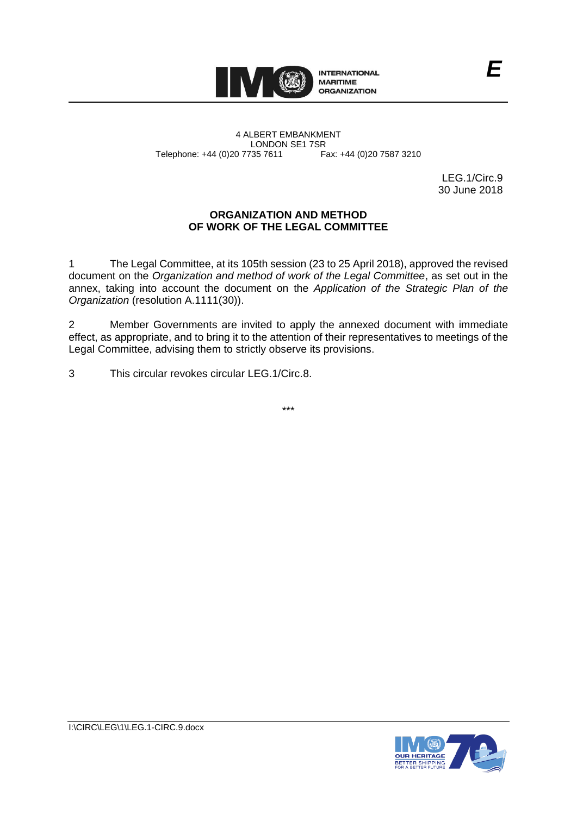

4 ALBERT EMBANKMENT Telephone: +44 (0)20 7735 7611

LONDON SE1 7SR<br>735 7611 Fax: +44 (0)20 7587 3210

LEG.1/Circ.9 30 June 2018

*E*

### **ORGANIZATION AND METHOD OF WORK OF THE LEGAL COMMITTEE**

1 The Legal Committee, at its 105th session (23 to 25 April 2018), approved the revised document on the *Organization and method of work of the Legal Committee*, as set out in the annex, taking into account the document on the *Application of the Strategic Plan of the Organization* (resolution A.1111(30)).

2 Member Governments are invited to apply the annexed document with immediate effect, as appropriate, and to bring it to the attention of their representatives to meetings of the Legal Committee, advising them to strictly observe its provisions.

3 This circular revokes circular LEG.1/Circ.8.

\*\*\*

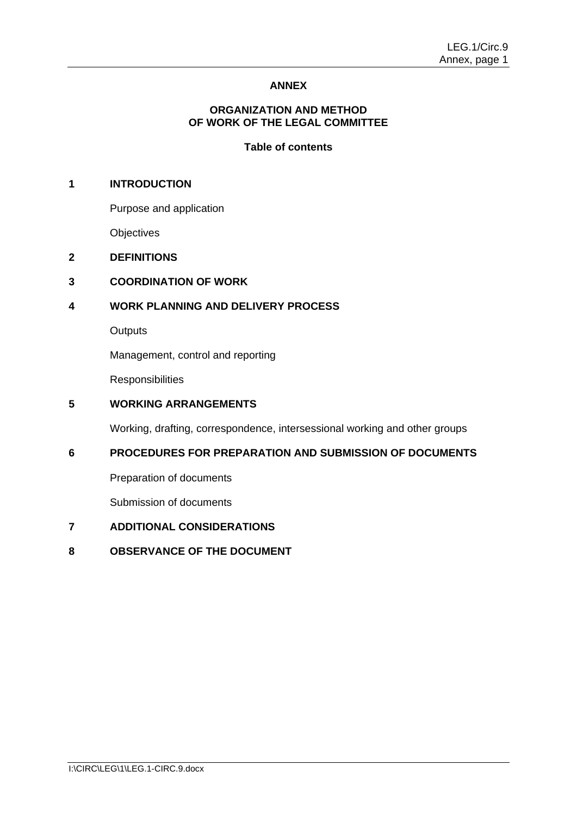# **ANNEX**

### **ORGANIZATION AND METHOD OF WORK OF THE LEGAL COMMITTEE**

### **Table of contents**

# **1 INTRODUCTION**

Purpose and application

**Objectives** 

### **2 DEFINITIONS**

# **3 COORDINATION OF WORK**

# **4 WORK PLANNING AND DELIVERY PROCESS**

**Outputs** 

Management, control and reporting

**Responsibilities** 

## **5 WORKING ARRANGEMENTS**

Working, drafting, correspondence, intersessional working and other groups

# **6 PROCEDURES FOR PREPARATION AND SUBMISSION OF DOCUMENTS**

Preparation of documents

Submission of documents

# **7 ADDITIONAL CONSIDERATIONS**

**8 OBSERVANCE OF THE DOCUMENT**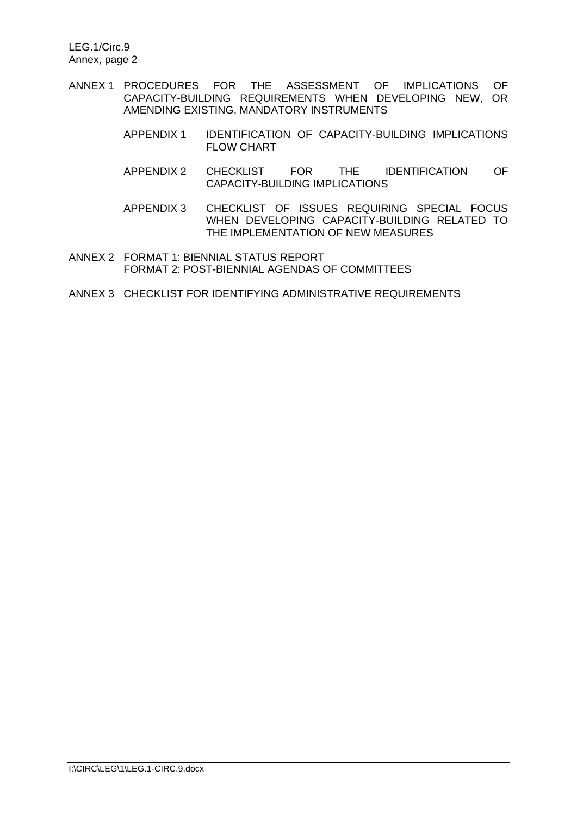- ANNEX 1 PROCEDURES FOR THE ASSESSMENT OF IMPLICATIONS OF CAPACITY-BUILDING REQUIREMENTS WHEN DEVELOPING NEW, OR AMENDING EXISTING, MANDATORY INSTRUMENTS
	- APPENDIX 1 IDENTIFICATION OF CAPACITY-BUILDING IMPLICATIONS FLOW CHART
	- APPENDIX 2 CHECKLIST FOR THE IDENTIFICATION OF CAPACITY-BUILDING IMPLICATIONS
	- APPENDIX 3 CHECKLIST OF ISSUES REQUIRING SPECIAL FOCUS WHEN DEVELOPING CAPACITY-BUILDING RELATED TO THE IMPLEMENTATION OF NEW MEASURES
- ANNEX 2 FORMAT 1: BIENNIAL STATUS REPORT FORMAT 2: POST-BIENNIAL AGENDAS OF COMMITTEES
- ANNEX 3 CHECKLIST FOR IDENTIFYING ADMINISTRATIVE REQUIREMENTS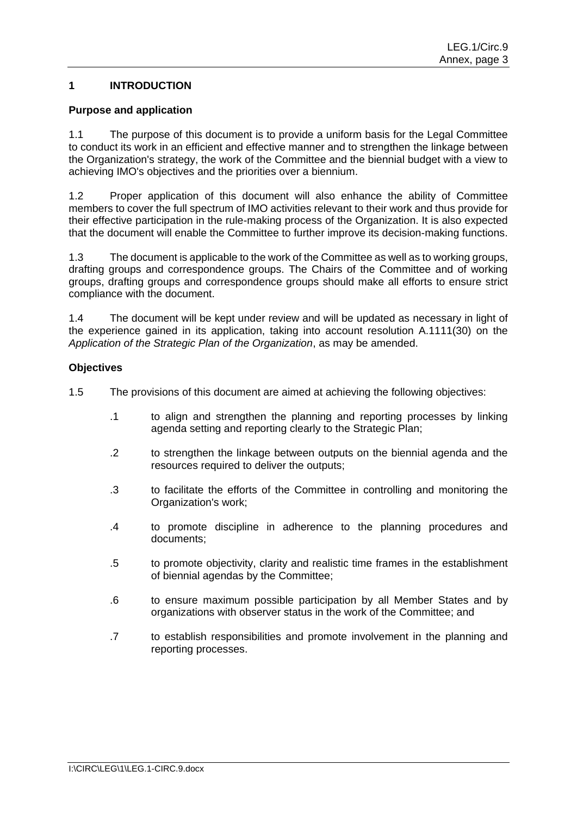# **1 INTRODUCTION**

#### **Purpose and application**

1.1 The purpose of this document is to provide a uniform basis for the Legal Committee to conduct its work in an efficient and effective manner and to strengthen the linkage between the Organization's strategy, the work of the Committee and the biennial budget with a view to achieving IMO's objectives and the priorities over a biennium.

1.2 Proper application of this document will also enhance the ability of Committee members to cover the full spectrum of IMO activities relevant to their work and thus provide for their effective participation in the rule-making process of the Organization. It is also expected that the document will enable the Committee to further improve its decision-making functions.

1.3 The document is applicable to the work of the Committee as well as to working groups, drafting groups and correspondence groups. The Chairs of the Committee and of working groups, drafting groups and correspondence groups should make all efforts to ensure strict compliance with the document.

1.4 The document will be kept under review and will be updated as necessary in light of the experience gained in its application, taking into account resolution A.1111(30) on the *Application of the Strategic Plan of the Organization*, as may be amended.

### **Objectives**

1.5 The provisions of this document are aimed at achieving the following objectives:

- .1 to align and strengthen the planning and reporting processes by linking agenda setting and reporting clearly to the Strategic Plan;
- .2 to strengthen the linkage between outputs on the biennial agenda and the resources required to deliver the outputs;
- .3 to facilitate the efforts of the Committee in controlling and monitoring the Organization's work;
- .4 to promote discipline in adherence to the planning procedures and documents;
- .5 to promote objectivity, clarity and realistic time frames in the establishment of biennial agendas by the Committee;
- .6 to ensure maximum possible participation by all Member States and by organizations with observer status in the work of the Committee; and
- .7 to establish responsibilities and promote involvement in the planning and reporting processes.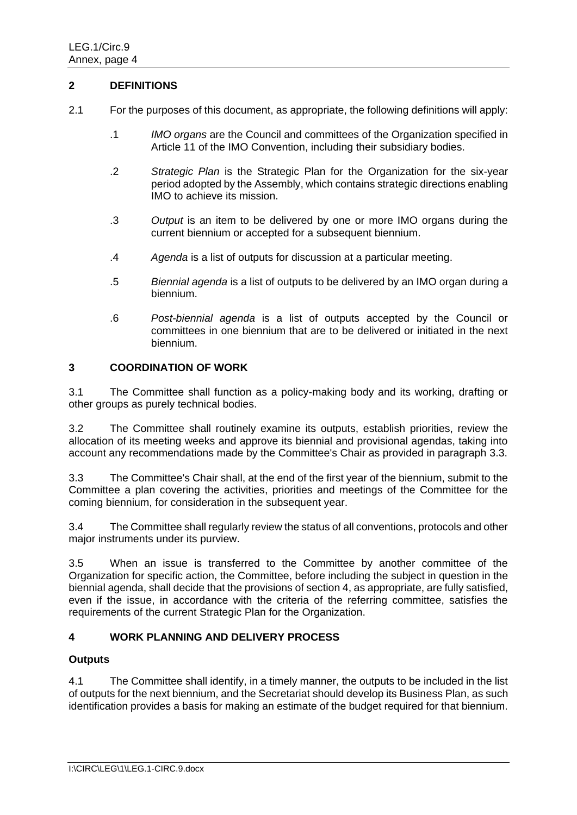### **2 DEFINITIONS**

- 2.1 For the purposes of this document, as appropriate, the following definitions will apply:
	- .1 *IMO organs* are the Council and committees of the Organization specified in Article 11 of the IMO Convention, including their subsidiary bodies.
	- .2 *Strategic Plan* is the Strategic Plan for the Organization for the six-year period adopted by the Assembly, which contains strategic directions enabling IMO to achieve its mission.
	- .3 *Output* is an item to be delivered by one or more IMO organs during the current biennium or accepted for a subsequent biennium.
	- .4 *Agenda* is a list of outputs for discussion at a particular meeting.
	- .5 *Biennial agenda* is a list of outputs to be delivered by an IMO organ during a biennium.
	- .6 *Post-biennial agenda* is a list of outputs accepted by the Council or committees in one biennium that are to be delivered or initiated in the next biennium.

# **3 COORDINATION OF WORK**

3.1 The Committee shall function as a policy-making body and its working, drafting or other groups as purely technical bodies.

3.2 The Committee shall routinely examine its outputs, establish priorities, review the allocation of its meeting weeks and approve its biennial and provisional agendas, taking into account any recommendations made by the Committee's Chair as provided in paragraph 3.3.

3.3 The Committee's Chair shall, at the end of the first year of the biennium, submit to the Committee a plan covering the activities, priorities and meetings of the Committee for the coming biennium, for consideration in the subsequent year.

3.4 The Committee shall regularly review the status of all conventions, protocols and other major instruments under its purview.

3.5 When an issue is transferred to the Committee by another committee of the Organization for specific action, the Committee, before including the subject in question in the biennial agenda, shall decide that the provisions of section 4, as appropriate, are fully satisfied, even if the issue, in accordance with the criteria of the referring committee, satisfies the requirements of the current Strategic Plan for the Organization.

# **4 WORK PLANNING AND DELIVERY PROCESS**

#### **Outputs**

4.1 The Committee shall identify, in a timely manner, the outputs to be included in the list of outputs for the next biennium, and the Secretariat should develop its Business Plan, as such identification provides a basis for making an estimate of the budget required for that biennium.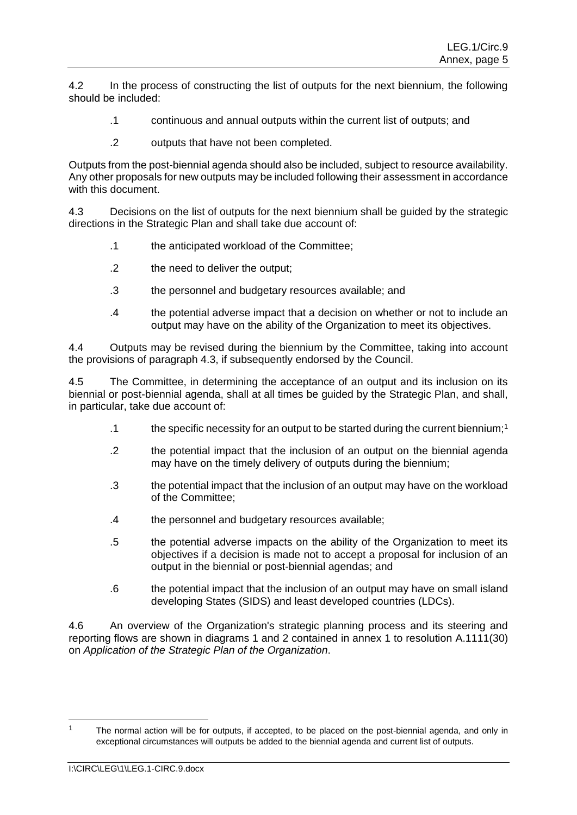4.2 In the process of constructing the list of outputs for the next biennium, the following should be included:

- .1 continuous and annual outputs within the current list of outputs; and
- .2 outputs that have not been completed.

Outputs from the post-biennial agenda should also be included, subject to resource availability. Any other proposals for new outputs may be included following their assessment in accordance with this document.

4.3 Decisions on the list of outputs for the next biennium shall be guided by the strategic directions in the Strategic Plan and shall take due account of:

- .1 the anticipated workload of the Committee;
- .2 the need to deliver the output;
- .3 the personnel and budgetary resources available; and
- .4 the potential adverse impact that a decision on whether or not to include an output may have on the ability of the Organization to meet its objectives.

4.4 Outputs may be revised during the biennium by the Committee, taking into account the provisions of paragraph 4.3, if subsequently endorsed by the Council.

4.5 The Committee, in determining the acceptance of an output and its inclusion on its biennial or post-biennial agenda, shall at all times be guided by the Strategic Plan, and shall, in particular, take due account of:

- .1 the specific necessity for an output to be started during the current biennium;<sup>1</sup>
- .2 the potential impact that the inclusion of an output on the biennial agenda may have on the timely delivery of outputs during the biennium;
- .3 the potential impact that the inclusion of an output may have on the workload of the Committee;
- .4 the personnel and budgetary resources available;
- .5 the potential adverse impacts on the ability of the Organization to meet its objectives if a decision is made not to accept a proposal for inclusion of an output in the biennial or post-biennial agendas; and
- .6 the potential impact that the inclusion of an output may have on small island developing States (SIDS) and least developed countries (LDCs).

4.6 An overview of the Organization's strategic planning process and its steering and reporting flows are shown in diagrams 1 and 2 contained in annex 1 to resolution A.1111(30) on *Application of the Strategic Plan of the Organization*.

-

The normal action will be for outputs, if accepted, to be placed on the post-biennial agenda, and only in exceptional circumstances will outputs be added to the biennial agenda and current list of outputs.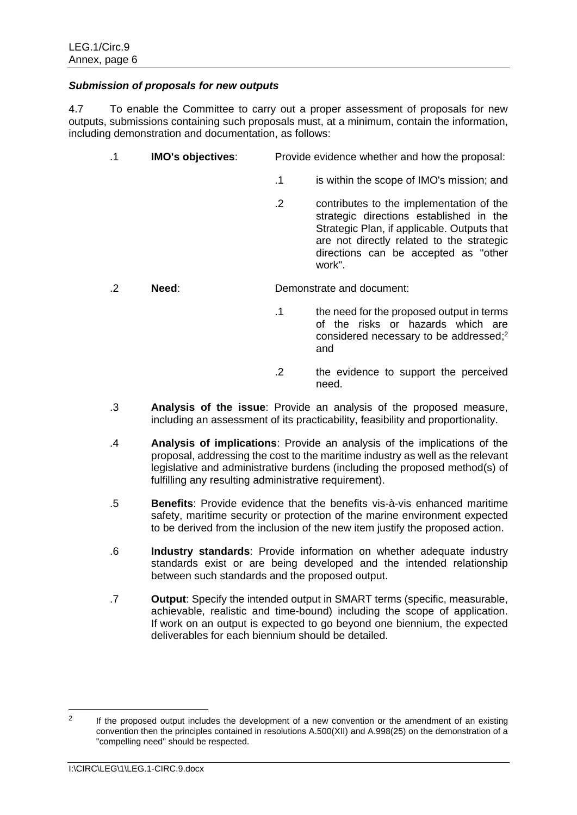### *Submission of proposals for new outputs*

4.7 To enable the Committee to carry out a proper assessment of proposals for new outputs, submissions containing such proposals must, at a minimum, contain the information, including demonstration and documentation, as follows:

- .1 **IMO's objectives**: Provide evidence whether and how the proposal:
	- .1 is within the scope of IMO's mission; and
	- .2 contributes to the implementation of the strategic directions established in the Strategic Plan, if applicable. Outputs that are not directly related to the strategic directions can be accepted as "other work".

.2 **Need**: Demonstrate and document:

- .1 the need for the proposed output in terms of the risks or hazards which are considered necessary to be addressed; 2 and
- .2 the evidence to support the perceived need.
- .3 **Analysis of the issue**: Provide an analysis of the proposed measure, including an assessment of its practicability, feasibility and proportionality.
- .4 **Analysis of implications**: Provide an analysis of the implications of the proposal, addressing the cost to the maritime industry as well as the relevant legislative and administrative burdens (including the proposed method(s) of fulfilling any resulting administrative requirement).
- .5 **Benefits**: Provide evidence that the benefits vis-à-vis enhanced maritime safety, maritime security or protection of the marine environment expected to be derived from the inclusion of the new item justify the proposed action.
- .6 **Industry standards**: Provide information on whether adequate industry standards exist or are being developed and the intended relationship between such standards and the proposed output.
- .7 **Output**: Specify the intended output in SMART terms (specific, measurable, achievable, realistic and time-bound) including the scope of application. If work on an output is expected to go beyond one biennium, the expected deliverables for each biennium should be detailed.

-

<sup>2</sup> If the proposed output includes the development of a new convention or the amendment of an existing convention then the principles contained in resolutions A.500(XII) and A.998(25) on the demonstration of a "compelling need" should be respected.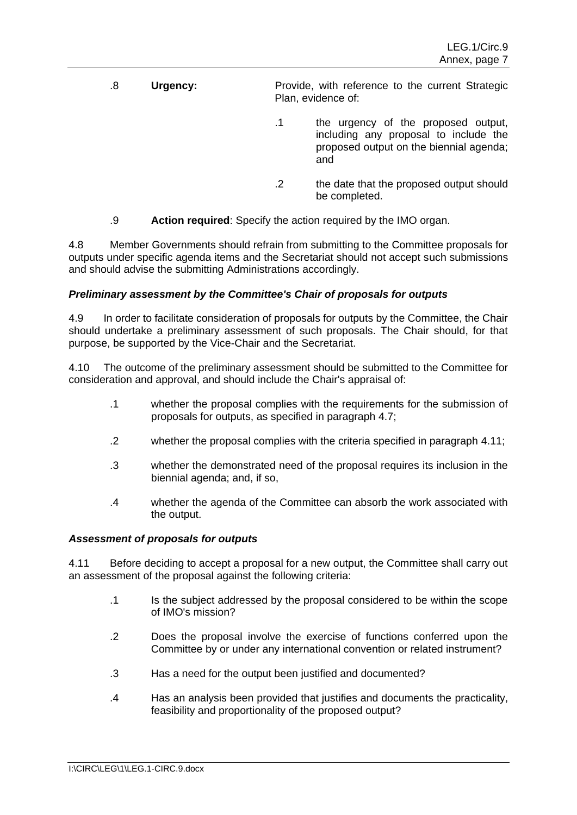- .8 **Urgency:** Provide, with reference to the current Strategic Plan, evidence of:
	- .1 the urgency of the proposed output, including any proposal to include the proposed output on the biennial agenda; and
	- .2 the date that the proposed output should be completed.
- .9 **Action required**: Specify the action required by the IMO organ.

4.8 Member Governments should refrain from submitting to the Committee proposals for outputs under specific agenda items and the Secretariat should not accept such submissions and should advise the submitting Administrations accordingly.

# *Preliminary assessment by the Committee's Chair of proposals for outputs*

4.9 In order to facilitate consideration of proposals for outputs by the Committee, the Chair should undertake a preliminary assessment of such proposals. The Chair should, for that purpose, be supported by the Vice-Chair and the Secretariat.

The outcome of the preliminary assessment should be submitted to the Committee for consideration and approval, and should include the Chair's appraisal of:

- .1 whether the proposal complies with the requirements for the submission of proposals for outputs, as specified in paragraph 4.7;
- .2 whether the proposal complies with the criteria specified in paragraph 4.11;
- .3 whether the demonstrated need of the proposal requires its inclusion in the biennial agenda; and, if so,
- .4 whether the agenda of the Committee can absorb the work associated with the output.

# *Assessment of proposals for outputs*

4.11 Before deciding to accept a proposal for a new output, the Committee shall carry out an assessment of the proposal against the following criteria:

- .1 Is the subject addressed by the proposal considered to be within the scope of IMO's mission?
- .2 Does the proposal involve the exercise of functions conferred upon the Committee by or under any international convention or related instrument?
- .3 Has a need for the output been justified and documented?
- .4 Has an analysis been provided that justifies and documents the practicality, feasibility and proportionality of the proposed output?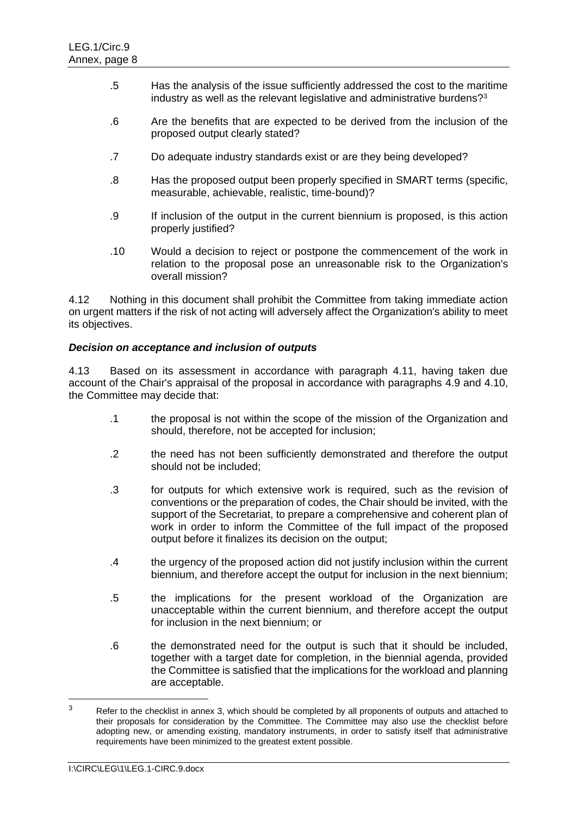- .5 Has the analysis of the issue sufficiently addressed the cost to the maritime industry as well as the relevant legislative and administrative burdens?<sup>3</sup>
- .6 Are the benefits that are expected to be derived from the inclusion of the proposed output clearly stated?
- .7 Do adequate industry standards exist or are they being developed?
- .8 Has the proposed output been properly specified in SMART terms (specific, measurable, achievable, realistic, time-bound)?
- .9 If inclusion of the output in the current biennium is proposed, is this action properly justified?
- .10 Would a decision to reject or postpone the commencement of the work in relation to the proposal pose an unreasonable risk to the Organization's overall mission?

4.12 Nothing in this document shall prohibit the Committee from taking immediate action on urgent matters if the risk of not acting will adversely affect the Organization's ability to meet its objectives.

### *Decision on acceptance and inclusion of outputs*

4.13 Based on its assessment in accordance with paragraph 4.11, having taken due account of the Chair's appraisal of the proposal in accordance with paragraphs 4.9 and 4.10, the Committee may decide that:

- .1 the proposal is not within the scope of the mission of the Organization and should, therefore, not be accepted for inclusion;
- .2 the need has not been sufficiently demonstrated and therefore the output should not be included;
- .3 for outputs for which extensive work is required, such as the revision of conventions or the preparation of codes, the Chair should be invited, with the support of the Secretariat, to prepare a comprehensive and coherent plan of work in order to inform the Committee of the full impact of the proposed output before it finalizes its decision on the output;
- .4 the urgency of the proposed action did not justify inclusion within the current biennium, and therefore accept the output for inclusion in the next biennium;
- .5 the implications for the present workload of the Organization are unacceptable within the current biennium, and therefore accept the output for inclusion in the next biennium; or
- .6 the demonstrated need for the output is such that it should be included, together with a target date for completion, in the biennial agenda, provided the Committee is satisfied that the implications for the workload and planning are acceptable.

-

 $3$  Refer to the checklist in annex 3, which should be completed by all proponents of outputs and attached to their proposals for consideration by the Committee. The Committee may also use the checklist before adopting new, or amending existing, mandatory instruments, in order to satisfy itself that administrative requirements have been minimized to the greatest extent possible.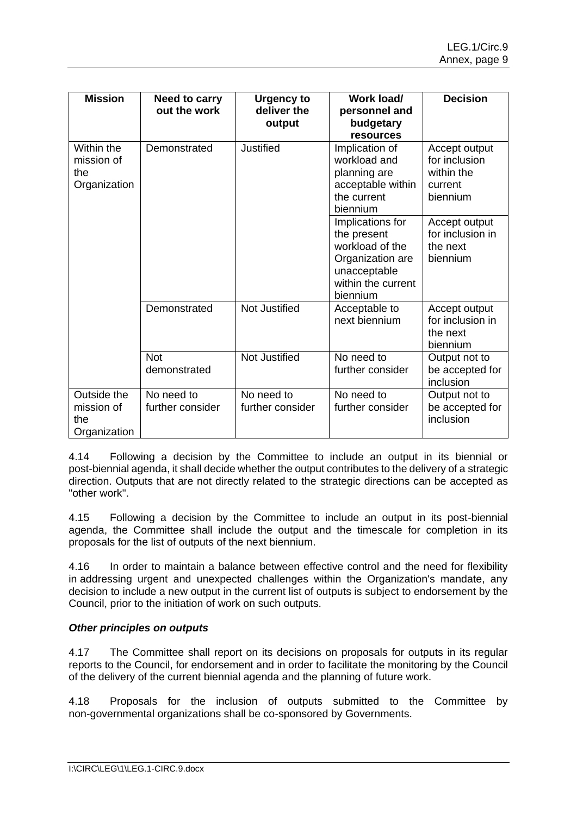| <b>Mission</b>                                   | Need to carry<br>out the work  | <b>Urgency to</b><br>deliver the<br>output | Work load/<br>personnel and<br>budgetary<br>resources                                                                    | <b>Decision</b>                                                     |
|--------------------------------------------------|--------------------------------|--------------------------------------------|--------------------------------------------------------------------------------------------------------------------------|---------------------------------------------------------------------|
| Within the<br>mission of<br>the<br>Organization  | Demonstrated                   | <b>Justified</b>                           | Implication of<br>workload and<br>planning are<br>acceptable within<br>the current<br>biennium                           | Accept output<br>for inclusion<br>within the<br>current<br>biennium |
|                                                  |                                |                                            | Implications for<br>the present<br>workload of the<br>Organization are<br>unacceptable<br>within the current<br>biennium | Accept output<br>for inclusion in<br>the next<br>biennium           |
|                                                  | Demonstrated                   | Not Justified                              | Acceptable to<br>next biennium                                                                                           | Accept output<br>for inclusion in<br>the next<br>biennium           |
|                                                  | <b>Not</b><br>demonstrated     | Not Justified                              | No need to<br>further consider                                                                                           | Output not to<br>be accepted for<br>inclusion                       |
| Outside the<br>mission of<br>the<br>Organization | No need to<br>further consider | No need to<br>further consider             | No need to<br>further consider                                                                                           | Output not to<br>be accepted for<br>inclusion                       |

4.14 Following a decision by the Committee to include an output in its biennial or post-biennial agenda, it shall decide whether the output contributes to the delivery of a strategic direction. Outputs that are not directly related to the strategic directions can be accepted as "other work".

4.15 Following a decision by the Committee to include an output in its post-biennial agenda, the Committee shall include the output and the timescale for completion in its proposals for the list of outputs of the next biennium.

4.16 In order to maintain a balance between effective control and the need for flexibility in addressing urgent and unexpected challenges within the Organization's mandate, any decision to include a new output in the current list of outputs is subject to endorsement by the Council, prior to the initiation of work on such outputs.

# *Other principles on outputs*

4.17 The Committee shall report on its decisions on proposals for outputs in its regular reports to the Council, for endorsement and in order to facilitate the monitoring by the Council of the delivery of the current biennial agenda and the planning of future work.

4.18 Proposals for the inclusion of outputs submitted to the Committee by non-governmental organizations shall be co-sponsored by Governments.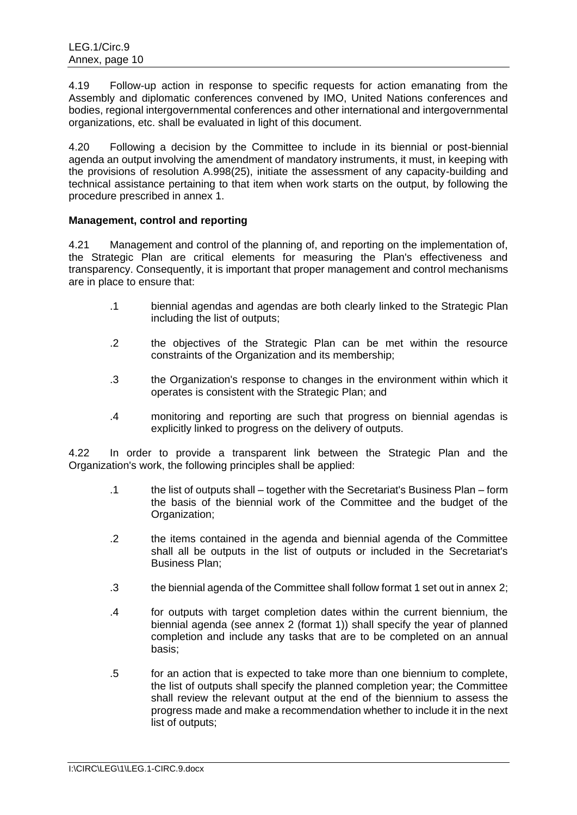4.19 Follow-up action in response to specific requests for action emanating from the Assembly and diplomatic conferences convened by IMO, United Nations conferences and bodies, regional intergovernmental conferences and other international and intergovernmental organizations, etc. shall be evaluated in light of this document.

4.20 Following a decision by the Committee to include in its biennial or post-biennial agenda an output involving the amendment of mandatory instruments, it must, in keeping with the provisions of resolution A.998(25), initiate the assessment of any capacity-building and technical assistance pertaining to that item when work starts on the output, by following the procedure prescribed in annex 1.

### **Management, control and reporting**

4.21 Management and control of the planning of, and reporting on the implementation of, the Strategic Plan are critical elements for measuring the Plan's effectiveness and transparency. Consequently, it is important that proper management and control mechanisms are in place to ensure that:

- .1 biennial agendas and agendas are both clearly linked to the Strategic Plan including the list of outputs;
- .2 the objectives of the Strategic Plan can be met within the resource constraints of the Organization and its membership;
- .3 the Organization's response to changes in the environment within which it operates is consistent with the Strategic Plan; and
- .4 monitoring and reporting are such that progress on biennial agendas is explicitly linked to progress on the delivery of outputs.

4.22 In order to provide a transparent link between the Strategic Plan and the Organization's work, the following principles shall be applied:

- .1 the list of outputs shall together with the Secretariat's Business Plan form the basis of the biennial work of the Committee and the budget of the Organization;
- .2 the items contained in the agenda and biennial agenda of the Committee shall all be outputs in the list of outputs or included in the Secretariat's Business Plan;
- .3 the biennial agenda of the Committee shall follow format 1 set out in annex 2;
- .4 for outputs with target completion dates within the current biennium, the biennial agenda (see annex 2 (format 1)) shall specify the year of planned completion and include any tasks that are to be completed on an annual basis;
- .5 for an action that is expected to take more than one biennium to complete, the list of outputs shall specify the planned completion year; the Committee shall review the relevant output at the end of the biennium to assess the progress made and make a recommendation whether to include it in the next list of outputs;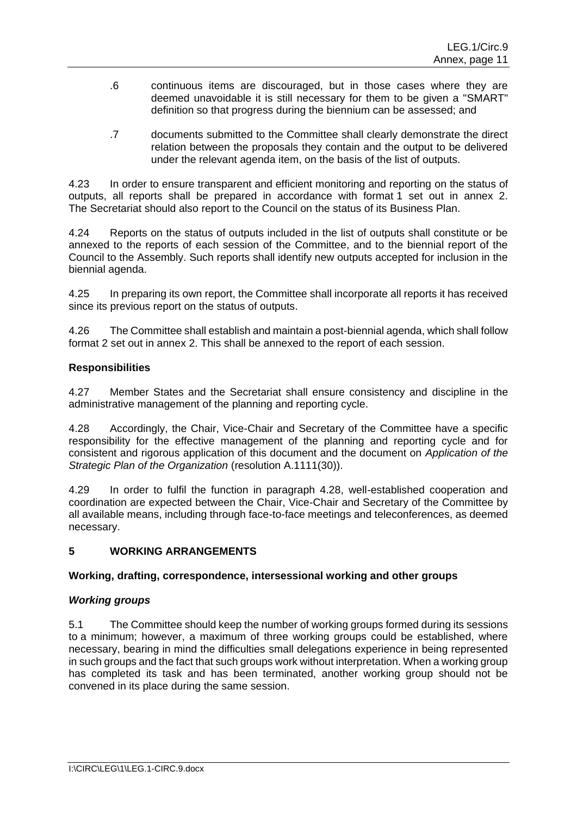- .6 continuous items are discouraged, but in those cases where they are deemed unavoidable it is still necessary for them to be given a "SMART" definition so that progress during the biennium can be assessed; and
- .7 documents submitted to the Committee shall clearly demonstrate the direct relation between the proposals they contain and the output to be delivered under the relevant agenda item, on the basis of the list of outputs.

4.23 In order to ensure transparent and efficient monitoring and reporting on the status of outputs, all reports shall be prepared in accordance with format 1 set out in annex 2. The Secretariat should also report to the Council on the status of its Business Plan.

4.24 Reports on the status of outputs included in the list of outputs shall constitute or be annexed to the reports of each session of the Committee, and to the biennial report of the Council to the Assembly. Such reports shall identify new outputs accepted for inclusion in the biennial agenda.

4.25 In preparing its own report, the Committee shall incorporate all reports it has received since its previous report on the status of outputs.

4.26 The Committee shall establish and maintain a post-biennial agenda, which shall follow format 2 set out in annex 2. This shall be annexed to the report of each session.

# **Responsibilities**

4.27 Member States and the Secretariat shall ensure consistency and discipline in the administrative management of the planning and reporting cycle.

4.28 Accordingly, the Chair, Vice-Chair and Secretary of the Committee have a specific responsibility for the effective management of the planning and reporting cycle and for consistent and rigorous application of this document and the document on *Application of the Strategic Plan of the Organization* (resolution A.1111(30)).

4.29 In order to fulfil the function in paragraph 4.28, well-established cooperation and coordination are expected between the Chair, Vice-Chair and Secretary of the Committee by all available means, including through face-to-face meetings and teleconferences, as deemed necessary.

# **5 WORKING ARRANGEMENTS**

# **Working, drafting, correspondence, intersessional working and other groups**

# *Working groups*

5.1 The Committee should keep the number of working groups formed during its sessions to a minimum; however, a maximum of three working groups could be established, where necessary, bearing in mind the difficulties small delegations experience in being represented in such groups and the fact that such groups work without interpretation. When a working group has completed its task and has been terminated, another working group should not be convened in its place during the same session.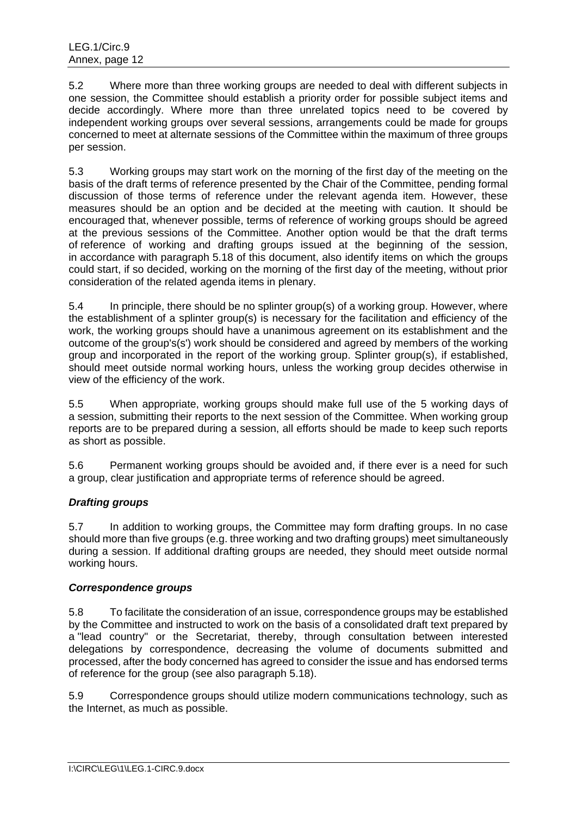5.2 Where more than three working groups are needed to deal with different subjects in one session, the Committee should establish a priority order for possible subject items and decide accordingly. Where more than three unrelated topics need to be covered by independent working groups over several sessions, arrangements could be made for groups concerned to meet at alternate sessions of the Committee within the maximum of three groups per session.

5.3 Working groups may start work on the morning of the first day of the meeting on the basis of the draft terms of reference presented by the Chair of the Committee, pending formal discussion of those terms of reference under the relevant agenda item. However, these measures should be an option and be decided at the meeting with caution. It should be encouraged that, whenever possible, terms of reference of working groups should be agreed at the previous sessions of the Committee. Another option would be that the draft terms of reference of working and drafting groups issued at the beginning of the session, in accordance with paragraph 5.18 of this document, also identify items on which the groups could start, if so decided, working on the morning of the first day of the meeting, without prior consideration of the related agenda items in plenary.

5.4 In principle, there should be no splinter group(s) of a working group. However, where the establishment of a splinter group(s) is necessary for the facilitation and efficiency of the work, the working groups should have a unanimous agreement on its establishment and the outcome of the group's(s') work should be considered and agreed by members of the working group and incorporated in the report of the working group. Splinter group(s), if established, should meet outside normal working hours, unless the working group decides otherwise in view of the efficiency of the work.

5.5 When appropriate, working groups should make full use of the 5 working days of a session, submitting their reports to the next session of the Committee. When working group reports are to be prepared during a session, all efforts should be made to keep such reports as short as possible.

5.6 Permanent working groups should be avoided and, if there ever is a need for such a group, clear justification and appropriate terms of reference should be agreed.

# *Drafting groups*

5.7 In addition to working groups, the Committee may form drafting groups. In no case should more than five groups (e.g. three working and two drafting groups) meet simultaneously during a session. If additional drafting groups are needed, they should meet outside normal working hours.

# *Correspondence groups*

5.8 To facilitate the consideration of an issue, correspondence groups may be established by the Committee and instructed to work on the basis of a consolidated draft text prepared by a "lead country" or the Secretariat, thereby, through consultation between interested delegations by correspondence, decreasing the volume of documents submitted and processed, after the body concerned has agreed to consider the issue and has endorsed terms of reference for the group (see also paragraph 5.18).

5.9 Correspondence groups should utilize modern communications technology, such as the Internet, as much as possible.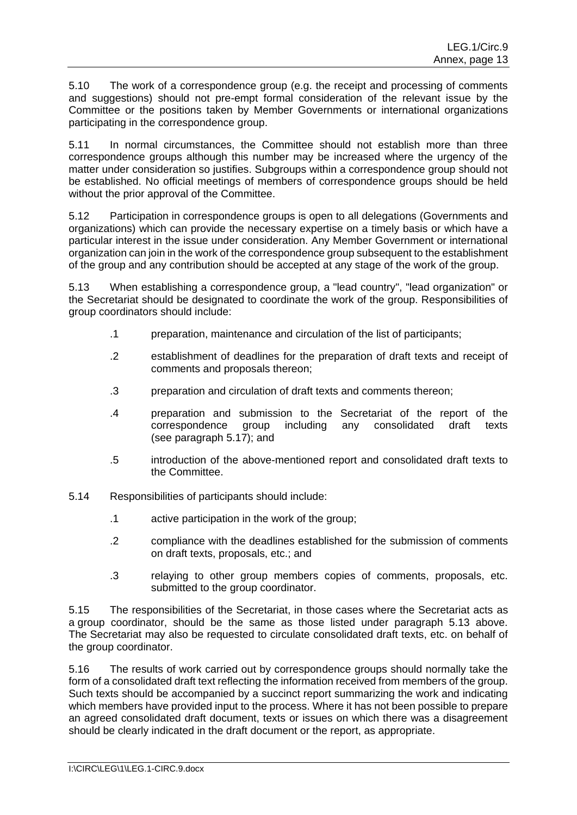5.10 The work of a correspondence group (e.g. the receipt and processing of comments and suggestions) should not pre-empt formal consideration of the relevant issue by the Committee or the positions taken by Member Governments or international organizations participating in the correspondence group.

5.11 In normal circumstances, the Committee should not establish more than three correspondence groups although this number may be increased where the urgency of the matter under consideration so justifies. Subgroups within a correspondence group should not be established. No official meetings of members of correspondence groups should be held without the prior approval of the Committee.

5.12 Participation in correspondence groups is open to all delegations (Governments and organizations) which can provide the necessary expertise on a timely basis or which have a particular interest in the issue under consideration. Any Member Government or international organization can join in the work of the correspondence group subsequent to the establishment of the group and any contribution should be accepted at any stage of the work of the group.

5.13 When establishing a correspondence group, a "lead country", "lead organization" or the Secretariat should be designated to coordinate the work of the group. Responsibilities of group coordinators should include:

- .1 preparation, maintenance and circulation of the list of participants;
- .2 establishment of deadlines for the preparation of draft texts and receipt of comments and proposals thereon;
- .3 preparation and circulation of draft texts and comments thereon;
- .4 preparation and submission to the Secretariat of the report of the correspondence group including any consolidated draft texts (see paragraph 5.17); and
- .5 introduction of the above-mentioned report and consolidated draft texts to the Committee.
- 5.14 Responsibilities of participants should include:
	- .1 active participation in the work of the group;
	- .2 compliance with the deadlines established for the submission of comments on draft texts, proposals, etc.; and
	- .3 relaying to other group members copies of comments, proposals, etc. submitted to the group coordinator.

5.15 The responsibilities of the Secretariat, in those cases where the Secretariat acts as a group coordinator, should be the same as those listed under paragraph 5.13 above. The Secretariat may also be requested to circulate consolidated draft texts, etc. on behalf of the group coordinator.

5.16 The results of work carried out by correspondence groups should normally take the form of a consolidated draft text reflecting the information received from members of the group. Such texts should be accompanied by a succinct report summarizing the work and indicating which members have provided input to the process. Where it has not been possible to prepare an agreed consolidated draft document, texts or issues on which there was a disagreement should be clearly indicated in the draft document or the report, as appropriate.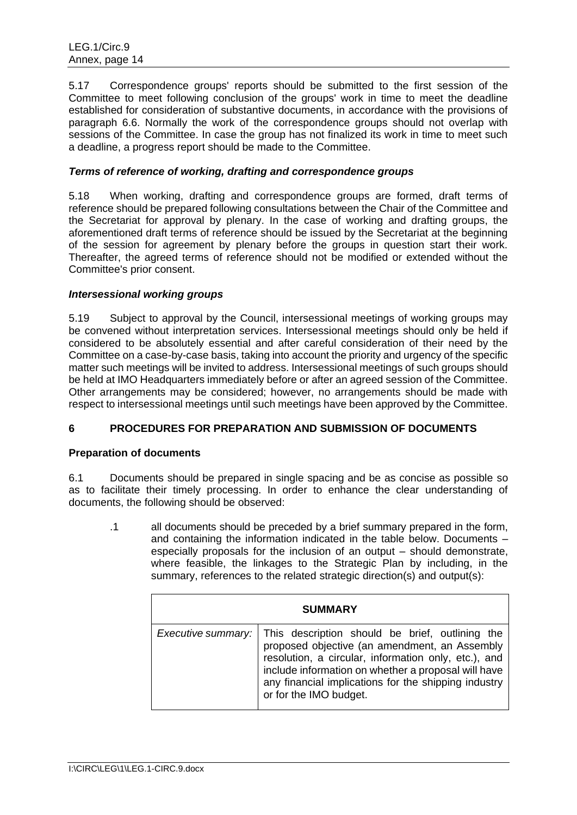5.17 Correspondence groups' reports should be submitted to the first session of the Committee to meet following conclusion of the groups' work in time to meet the deadline established for consideration of substantive documents, in accordance with the provisions of paragraph 6.6. Normally the work of the correspondence groups should not overlap with sessions of the Committee. In case the group has not finalized its work in time to meet such a deadline, a progress report should be made to the Committee.

# *Terms of reference of working, drafting and correspondence groups*

5.18 When working, drafting and correspondence groups are formed, draft terms of reference should be prepared following consultations between the Chair of the Committee and the Secretariat for approval by plenary. In the case of working and drafting groups, the aforementioned draft terms of reference should be issued by the Secretariat at the beginning of the session for agreement by plenary before the groups in question start their work. Thereafter, the agreed terms of reference should not be modified or extended without the Committee's prior consent.

# *Intersessional working groups*

5.19 Subject to approval by the Council, intersessional meetings of working groups may be convened without interpretation services. Intersessional meetings should only be held if considered to be absolutely essential and after careful consideration of their need by the Committee on a case-by-case basis, taking into account the priority and urgency of the specific matter such meetings will be invited to address. Intersessional meetings of such groups should be held at IMO Headquarters immediately before or after an agreed session of the Committee. Other arrangements may be considered; however, no arrangements should be made with respect to intersessional meetings until such meetings have been approved by the Committee.

# **6 PROCEDURES FOR PREPARATION AND SUBMISSION OF DOCUMENTS**

# **Preparation of documents**

6.1 Documents should be prepared in single spacing and be as concise as possible so as to facilitate their timely processing. In order to enhance the clear understanding of documents, the following should be observed:

.1 all documents should be preceded by a brief summary prepared in the form, and containing the information indicated in the table below. Documents – especially proposals for the inclusion of an output – should demonstrate, where feasible, the linkages to the Strategic Plan by including, in the summary, references to the related strategic direction(s) and output(s):

|                    | <b>SUMMARY</b>                                                                                                                                                                                                                                                                                    |
|--------------------|---------------------------------------------------------------------------------------------------------------------------------------------------------------------------------------------------------------------------------------------------------------------------------------------------|
| Executive summary: | This description should be brief, outlining the<br>proposed objective (an amendment, an Assembly<br>resolution, a circular, information only, etc.), and<br>include information on whether a proposal will have<br>any financial implications for the shipping industry<br>or for the IMO budget. |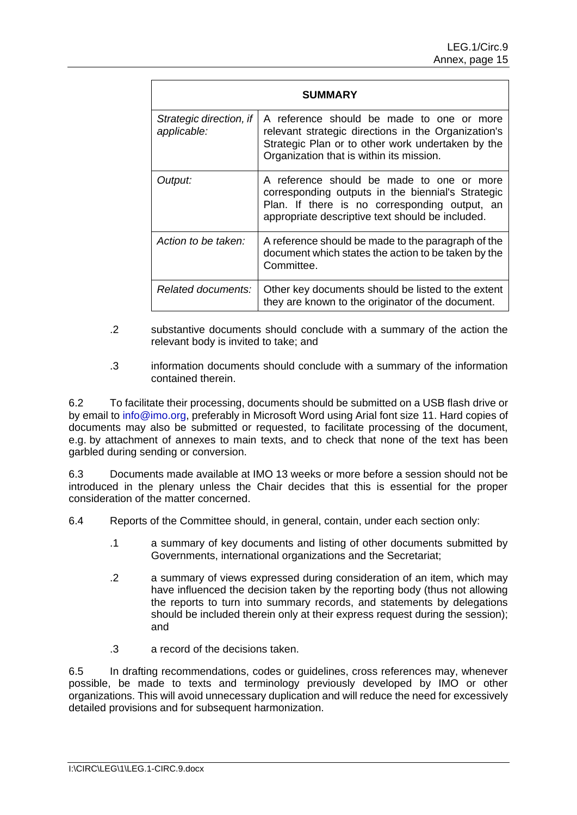|                                        | SUMMARY                                                                                                                                                                                             |
|----------------------------------------|-----------------------------------------------------------------------------------------------------------------------------------------------------------------------------------------------------|
| Strategic direction, if<br>applicable: | A reference should be made to one or more<br>relevant strategic directions in the Organization's<br>Strategic Plan or to other work undertaken by the<br>Organization that is within its mission.   |
| Output:                                | A reference should be made to one or more<br>corresponding outputs in the biennial's Strategic<br>Plan. If there is no corresponding output, an<br>appropriate descriptive text should be included. |
| Action to be taken:                    | A reference should be made to the paragraph of the<br>document which states the action to be taken by the<br>Committee.                                                                             |
| Related documents:                     | Other key documents should be listed to the extent<br>they are known to the originator of the document.                                                                                             |

- .2 substantive documents should conclude with a summary of the action the relevant body is invited to take; and
- .3 information documents should conclude with a summary of the information contained therein.

6.2 To facilitate their processing, documents should be submitted on a USB flash drive or by email to info@imo.org, preferably in Microsoft Word using Arial font size 11. Hard copies of documents may also be submitted or requested, to facilitate processing of the document, e.g. by attachment of annexes to main texts, and to check that none of the text has been garbled during sending or conversion.

6.3 Documents made available at IMO 13 weeks or more before a session should not be introduced in the plenary unless the Chair decides that this is essential for the proper consideration of the matter concerned.

6.4 Reports of the Committee should, in general, contain, under each section only:

- .1 a summary of key documents and listing of other documents submitted by Governments, international organizations and the Secretariat;
- .2 a summary of views expressed during consideration of an item, which may have influenced the decision taken by the reporting body (thus not allowing the reports to turn into summary records, and statements by delegations should be included therein only at their express request during the session); and
- .3 a record of the decisions taken.

6.5 In drafting recommendations, codes or guidelines, cross references may, whenever possible, be made to texts and terminology previously developed by IMO or other organizations. This will avoid unnecessary duplication and will reduce the need for excessively detailed provisions and for subsequent harmonization.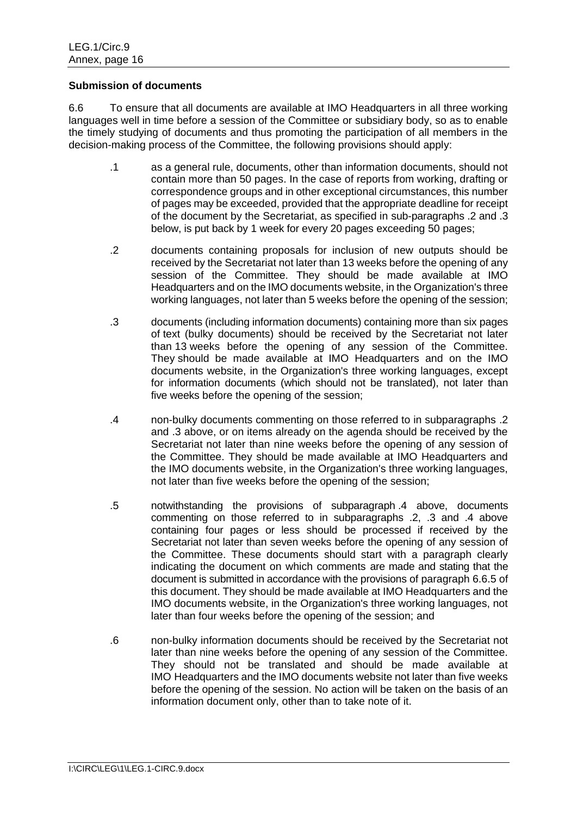### **Submission of documents**

6.6 To ensure that all documents are available at IMO Headquarters in all three working languages well in time before a session of the Committee or subsidiary body, so as to enable the timely studying of documents and thus promoting the participation of all members in the decision-making process of the Committee, the following provisions should apply:

- .1 as a general rule, documents, other than information documents, should not contain more than 50 pages. In the case of reports from working, drafting or correspondence groups and in other exceptional circumstances, this number of pages may be exceeded, provided that the appropriate deadline for receipt of the document by the Secretariat, as specified in sub-paragraphs .2 and .3 below, is put back by 1 week for every 20 pages exceeding 50 pages;
- .2 documents containing proposals for inclusion of new outputs should be received by the Secretariat not later than 13 weeks before the opening of any session of the Committee. They should be made available at IMO Headquarters and on the IMO documents website, in the Organization's three working languages, not later than 5 weeks before the opening of the session;
- .3 documents (including information documents) containing more than six pages of text (bulky documents) should be received by the Secretariat not later than 13 weeks before the opening of any session of the Committee. They should be made available at IMO Headquarters and on the IMO documents website, in the Organization's three working languages, except for information documents (which should not be translated), not later than five weeks before the opening of the session;
- .4 non-bulky documents commenting on those referred to in subparagraphs .2 and .3 above, or on items already on the agenda should be received by the Secretariat not later than nine weeks before the opening of any session of the Committee. They should be made available at IMO Headquarters and the IMO documents website, in the Organization's three working languages, not later than five weeks before the opening of the session;
- .5 notwithstanding the provisions of subparagraph .4 above, documents commenting on those referred to in subparagraphs .2, .3 and .4 above containing four pages or less should be processed if received by the Secretariat not later than seven weeks before the opening of any session of the Committee. These documents should start with a paragraph clearly indicating the document on which comments are made and stating that the document is submitted in accordance with the provisions of paragraph 6.6.5 of this document. They should be made available at IMO Headquarters and the IMO documents website, in the Organization's three working languages, not later than four weeks before the opening of the session; and
- .6 non-bulky information documents should be received by the Secretariat not later than nine weeks before the opening of any session of the Committee. They should not be translated and should be made available at IMO Headquarters and the IMO documents website not later than five weeks before the opening of the session. No action will be taken on the basis of an information document only, other than to take note of it.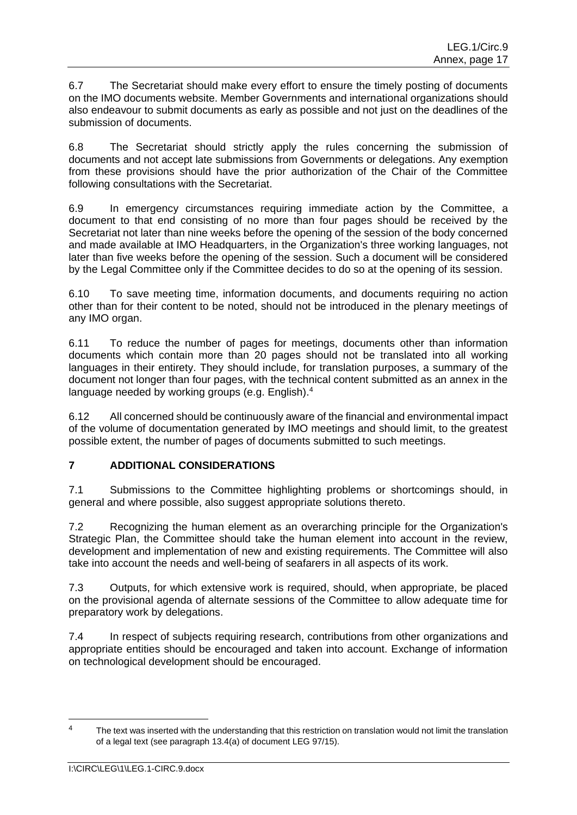6.7 The Secretariat should make every effort to ensure the timely posting of documents on the IMO documents website. Member Governments and international organizations should also endeavour to submit documents as early as possible and not just on the deadlines of the submission of documents.

6.8 The Secretariat should strictly apply the rules concerning the submission of documents and not accept late submissions from Governments or delegations. Any exemption from these provisions should have the prior authorization of the Chair of the Committee following consultations with the Secretariat.

6.9 In emergency circumstances requiring immediate action by the Committee, a document to that end consisting of no more than four pages should be received by the Secretariat not later than nine weeks before the opening of the session of the body concerned and made available at IMO Headquarters, in the Organization's three working languages, not later than five weeks before the opening of the session. Such a document will be considered by the Legal Committee only if the Committee decides to do so at the opening of its session.

6.10 To save meeting time, information documents, and documents requiring no action other than for their content to be noted, should not be introduced in the plenary meetings of any IMO organ.

6.11 To reduce the number of pages for meetings, documents other than information documents which contain more than 20 pages should not be translated into all working languages in their entirety. They should include, for translation purposes, a summary of the document not longer than four pages, with the technical content submitted as an annex in the language needed by working groups (e.g. English). 4

6.12 All concerned should be continuously aware of the financial and environmental impact of the volume of documentation generated by IMO meetings and should limit, to the greatest possible extent, the number of pages of documents submitted to such meetings.

# **7 ADDITIONAL CONSIDERATIONS**

7.1 Submissions to the Committee highlighting problems or shortcomings should, in general and where possible, also suggest appropriate solutions thereto.

7.2 Recognizing the human element as an overarching principle for the Organization's Strategic Plan, the Committee should take the human element into account in the review, development and implementation of new and existing requirements. The Committee will also take into account the needs and well-being of seafarers in all aspects of its work.

7.3 Outputs, for which extensive work is required, should, when appropriate, be placed on the provisional agenda of alternate sessions of the Committee to allow adequate time for preparatory work by delegations.

7.4 In respect of subjects requiring research, contributions from other organizations and appropriate entities should be encouraged and taken into account. Exchange of information on technological development should be encouraged.

-

 $4 - 1$  The text was inserted with the understanding that this restriction on translation would not limit the translation of a legal text (see paragraph 13.4(a) of document LEG 97/15).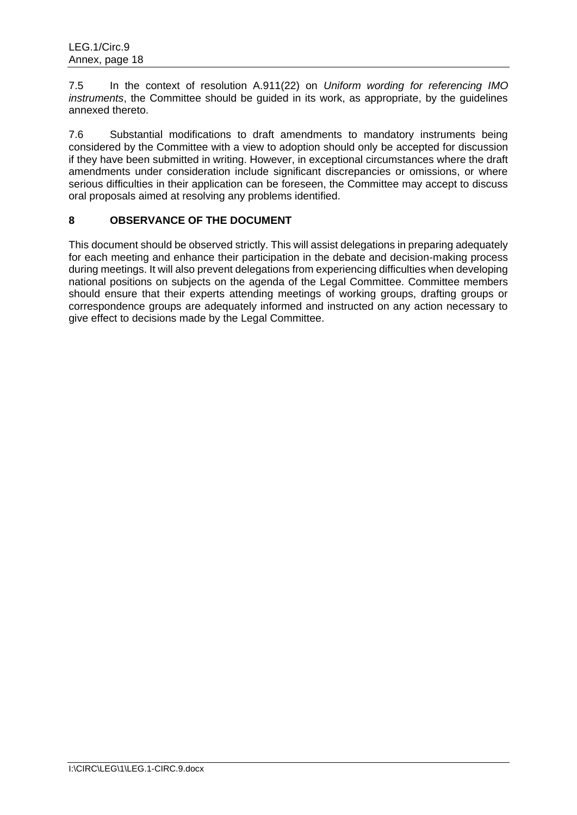7.5 In the context of resolution A.911(22) on *Uniform wording for referencing IMO instruments*, the Committee should be guided in its work, as appropriate, by the guidelines annexed thereto.

7.6 Substantial modifications to draft amendments to mandatory instruments being considered by the Committee with a view to adoption should only be accepted for discussion if they have been submitted in writing. However, in exceptional circumstances where the draft amendments under consideration include significant discrepancies or omissions, or where serious difficulties in their application can be foreseen, the Committee may accept to discuss oral proposals aimed at resolving any problems identified.

# **8 OBSERVANCE OF THE DOCUMENT**

This document should be observed strictly. This will assist delegations in preparing adequately for each meeting and enhance their participation in the debate and decision-making process during meetings. It will also prevent delegations from experiencing difficulties when developing national positions on subjects on the agenda of the Legal Committee. Committee members should ensure that their experts attending meetings of working groups, drafting groups or correspondence groups are adequately informed and instructed on any action necessary to give effect to decisions made by the Legal Committee.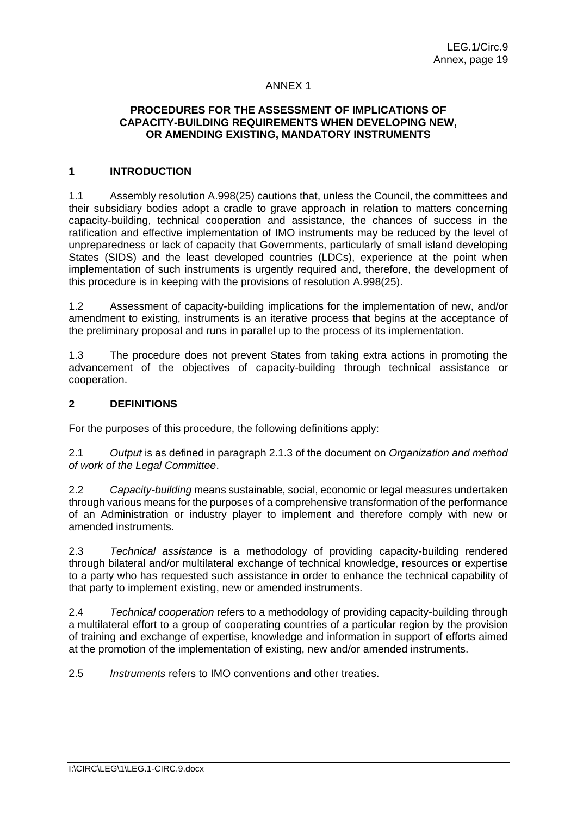### ANNEX 1

# **PROCEDURES FOR THE ASSESSMENT OF IMPLICATIONS OF CAPACITY-BUILDING REQUIREMENTS WHEN DEVELOPING NEW, OR AMENDING EXISTING, MANDATORY INSTRUMENTS**

### **1 INTRODUCTION**

1.1 Assembly resolution A.998(25) cautions that, unless the Council, the committees and their subsidiary bodies adopt a cradle to grave approach in relation to matters concerning capacity-building, technical cooperation and assistance, the chances of success in the ratification and effective implementation of IMO instruments may be reduced by the level of unpreparedness or lack of capacity that Governments, particularly of small island developing States (SIDS) and the least developed countries (LDCs), experience at the point when implementation of such instruments is urgently required and, therefore, the development of this procedure is in keeping with the provisions of resolution A.998(25).

1.2 Assessment of capacity-building implications for the implementation of new, and/or amendment to existing, instruments is an iterative process that begins at the acceptance of the preliminary proposal and runs in parallel up to the process of its implementation.

1.3 The procedure does not prevent States from taking extra actions in promoting the advancement of the objectives of capacity-building through technical assistance or cooperation.

### **2 DEFINITIONS**

For the purposes of this procedure, the following definitions apply:

2.1 *Output* is as defined in paragraph 2.1.3 of the document on *Organization and method of work of the Legal Committee*.

2.2 *Capacity-building* means sustainable, social, economic or legal measures undertaken through various means for the purposes of a comprehensive transformation of the performance of an Administration or industry player to implement and therefore comply with new or amended instruments.

2.3 *Technical assistance* is a methodology of providing capacity-building rendered through bilateral and/or multilateral exchange of technical knowledge, resources or expertise to a party who has requested such assistance in order to enhance the technical capability of that party to implement existing, new or amended instruments.

2.4 *Technical cooperation* refers to a methodology of providing capacity-building through a multilateral effort to a group of cooperating countries of a particular region by the provision of training and exchange of expertise, knowledge and information in support of efforts aimed at the promotion of the implementation of existing, new and/or amended instruments.

2.5 *Instruments* refers to IMO conventions and other treaties.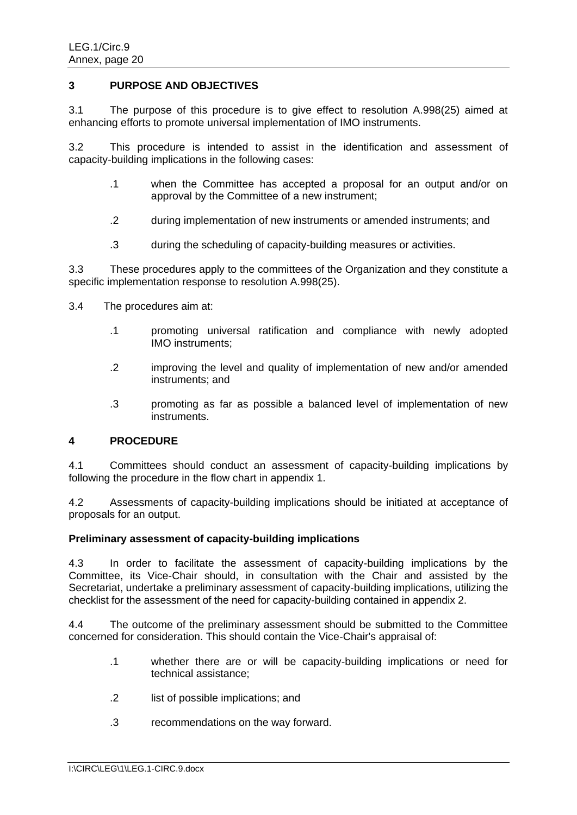### **3 PURPOSE AND OBJECTIVES**

3.1 The purpose of this procedure is to give effect to resolution A.998(25) aimed at enhancing efforts to promote universal implementation of IMO instruments.

3.2 This procedure is intended to assist in the identification and assessment of capacity-building implications in the following cases:

- .1 when the Committee has accepted a proposal for an output and/or on approval by the Committee of a new instrument;
- .2 during implementation of new instruments or amended instruments; and
- .3 during the scheduling of capacity-building measures or activities.

3.3 These procedures apply to the committees of the Organization and they constitute a specific implementation response to resolution A.998(25).

- 3.4 The procedures aim at:
	- .1 promoting universal ratification and compliance with newly adopted IMO instruments;
	- .2 improving the level and quality of implementation of new and/or amended instruments; and
	- .3 promoting as far as possible a balanced level of implementation of new instruments.

#### **4 PROCEDURE**

4.1 Committees should conduct an assessment of capacity-building implications by following the procedure in the flow chart in appendix 1.

4.2 Assessments of capacity-building implications should be initiated at acceptance of proposals for an output.

#### **Preliminary assessment of capacity-building implications**

4.3 In order to facilitate the assessment of capacity-building implications by the Committee, its Vice-Chair should, in consultation with the Chair and assisted by the Secretariat, undertake a preliminary assessment of capacity-building implications, utilizing the checklist for the assessment of the need for capacity-building contained in appendix 2.

4.4 The outcome of the preliminary assessment should be submitted to the Committee concerned for consideration. This should contain the Vice-Chair's appraisal of:

- .1 whether there are or will be capacity-building implications or need for technical assistance;
- .2 list of possible implications; and
- .3 recommendations on the way forward.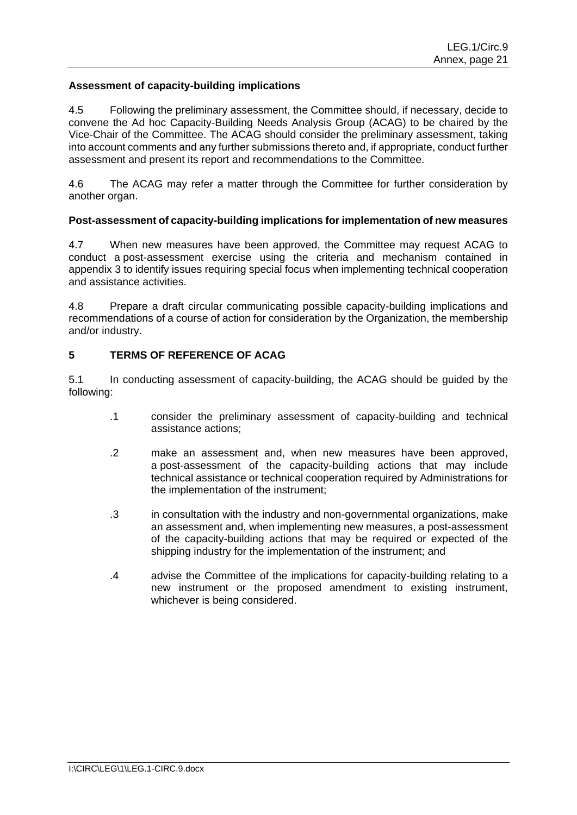# **Assessment of capacity-building implications**

4.5 Following the preliminary assessment, the Committee should, if necessary, decide to convene the Ad hoc Capacity-Building Needs Analysis Group (ACAG) to be chaired by the Vice-Chair of the Committee. The ACAG should consider the preliminary assessment, taking into account comments and any further submissions thereto and, if appropriate, conduct further assessment and present its report and recommendations to the Committee.

4.6 The ACAG may refer a matter through the Committee for further consideration by another organ.

# **Post-assessment of capacity-building implications for implementation of new measures**

4.7 When new measures have been approved, the Committee may request ACAG to conduct a post-assessment exercise using the criteria and mechanism contained in appendix 3 to identify issues requiring special focus when implementing technical cooperation and assistance activities.

4.8 Prepare a draft circular communicating possible capacity-building implications and recommendations of a course of action for consideration by the Organization, the membership and/or industry.

# **5 TERMS OF REFERENCE OF ACAG**

5.1 In conducting assessment of capacity-building, the ACAG should be guided by the following:

- .1 consider the preliminary assessment of capacity-building and technical assistance actions;
- .2 make an assessment and, when new measures have been approved, a post-assessment of the capacity-building actions that may include technical assistance or technical cooperation required by Administrations for the implementation of the instrument;
- .3 in consultation with the industry and non-governmental organizations, make an assessment and, when implementing new measures, a post-assessment of the capacity-building actions that may be required or expected of the shipping industry for the implementation of the instrument; and
- .4 advise the Committee of the implications for capacity-building relating to a new instrument or the proposed amendment to existing instrument, whichever is being considered.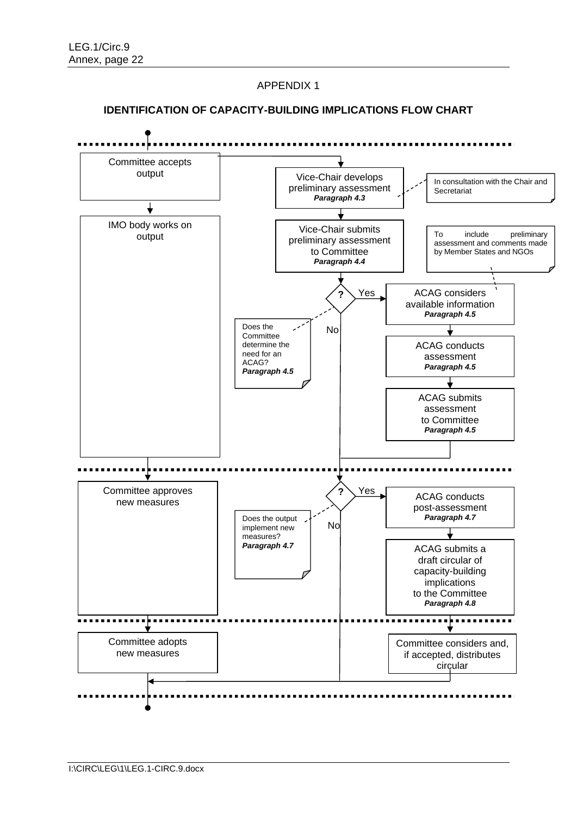APPENDIX 1

### **IDENTIFICATION OF CAPACITY-BUILDING IMPLICATIONS FLOW CHART**

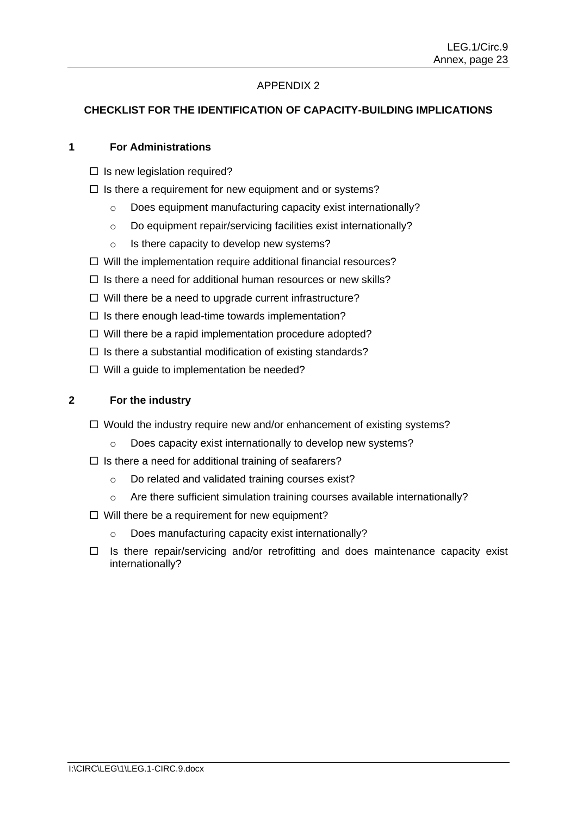# APPENDIX 2

# **CHECKLIST FOR THE IDENTIFICATION OF CAPACITY-BUILDING IMPLICATIONS**

### **1 For Administrations**

- $\Box$  Is new legislation required?
- $\Box$  Is there a requirement for new equipment and or systems?
	- o Does equipment manufacturing capacity exist internationally?
	- o Do equipment repair/servicing facilities exist internationally?
	- o Is there capacity to develop new systems?
- $\Box$  Will the implementation require additional financial resources?
- $\Box$  Is there a need for additional human resources or new skills?
- $\Box$  Will there be a need to upgrade current infrastructure?
- $\Box$  Is there enough lead-time towards implementation?
- $\Box$  Will there be a rapid implementation procedure adopted?
- $\Box$  Is there a substantial modification of existing standards?
- $\Box$  Will a guide to implementation be needed?

### **2 For the industry**

- $\Box$  Would the industry require new and/or enhancement of existing systems?
	- o Does capacity exist internationally to develop new systems?
- $\Box$  Is there a need for additional training of seafarers?
	- o Do related and validated training courses exist?
	- o Are there sufficient simulation training courses available internationally?
- $\Box$  Will there be a requirement for new equipment?
	- o Does manufacturing capacity exist internationally?
- $\Box$  Is there repair/servicing and/or retrofitting and does maintenance capacity exist internationally?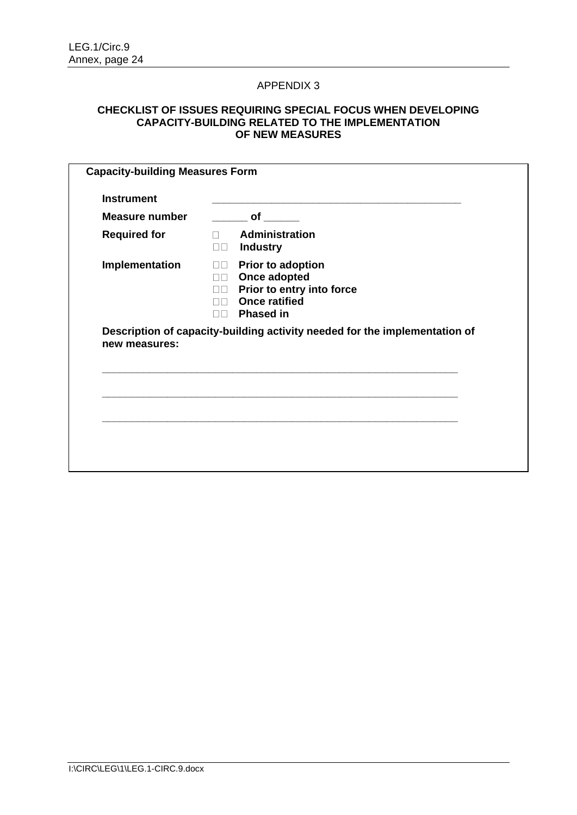### APPENDIX 3

### **CHECKLIST OF ISSUES REQUIRING SPECIAL FOCUS WHEN DEVELOPING CAPACITY-BUILDING RELATED TO THE IMPLEMENTATION OF NEW MEASURES**

| Administration<br>$\Box$<br><b>Industry</b><br>$\Box$<br>Prior to adoption<br>$\Box$<br>Once adopted<br>$\Box$<br>Prior to entry into force<br>$\Box$<br><b>Once ratified</b><br>$\Box \Box$<br>$\Box$ Phased in | <b>Required for</b><br>Implementation<br>Description of capacity-building activity needed for the implementation of<br>new measures: | <b>Instrument</b>     |                                              |
|------------------------------------------------------------------------------------------------------------------------------------------------------------------------------------------------------------------|--------------------------------------------------------------------------------------------------------------------------------------|-----------------------|----------------------------------------------|
|                                                                                                                                                                                                                  |                                                                                                                                      | <b>Measure number</b> | $\rule{1em}{0.15mm}$ of $\rule{1em}{0.15mm}$ |
|                                                                                                                                                                                                                  |                                                                                                                                      |                       |                                              |
|                                                                                                                                                                                                                  |                                                                                                                                      |                       |                                              |
|                                                                                                                                                                                                                  |                                                                                                                                      |                       |                                              |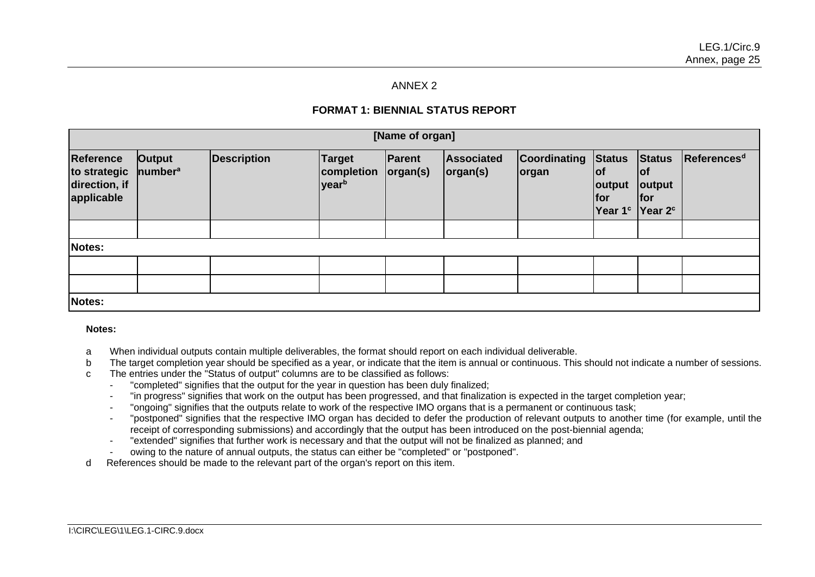### ANNEX 2

# **FORMAT 1: BIENNIAL STATUS REPORT**

| [Name of organ]                                                 |                               |                    |                                                                |                        |                         |                               |                                                                                   |                                              |                         |
|-----------------------------------------------------------------|-------------------------------|--------------------|----------------------------------------------------------------|------------------------|-------------------------|-------------------------------|-----------------------------------------------------------------------------------|----------------------------------------------|-------------------------|
| <b>Reference</b><br>to strategic<br>direction, if<br>applicable | Output<br>number <sup>a</sup> | <b>Description</b> | <b>Target</b><br><b>completion</b><br><b>year</b> <sup>b</sup> | Parent<br>$\log$ an(s) | Associated<br> organ(s) | <b>Coordinating</b><br> organ | <b>Status</b><br> of<br>output<br> for<br>Year 1 <sup>c</sup> Year 2 <sup>c</sup> | <b>Status</b><br> of<br>output<br><b>for</b> | References <sup>d</sup> |
|                                                                 |                               |                    |                                                                |                        |                         |                               |                                                                                   |                                              |                         |
| Notes:                                                          |                               |                    |                                                                |                        |                         |                               |                                                                                   |                                              |                         |
|                                                                 |                               |                    |                                                                |                        |                         |                               |                                                                                   |                                              |                         |
|                                                                 |                               |                    |                                                                |                        |                         |                               |                                                                                   |                                              |                         |
| Notes:                                                          |                               |                    |                                                                |                        |                         |                               |                                                                                   |                                              |                         |

#### **Notes:**

- a When individual outputs contain multiple deliverables, the format should report on each individual deliverable.
- b The target completion year should be specified as a year, or indicate that the item is annual or continuous. This should not indicate a number of sessions.
- c The entries under the "Status of output" columns are to be classified as follows:
	- "completed" signifies that the output for the year in question has been duly finalized;
	- "in progress" signifies that work on the output has been progressed, and that finalization is expected in the target completion year;
	- "ongoing" signifies that the outputs relate to work of the respective IMO organs that is a permanent or continuous task;
	- "postponed" signifies that the respective IMO organ has decided to defer the production of relevant outputs to another time (for example, until the receipt of corresponding submissions) and accordingly that the output has been introduced on the post-biennial agenda;
	- "extended" signifies that further work is necessary and that the output will not be finalized as planned; and
	- owing to the nature of annual outputs, the status can either be "completed" or "postponed".
- d References should be made to the relevant part of the organ's report on this item.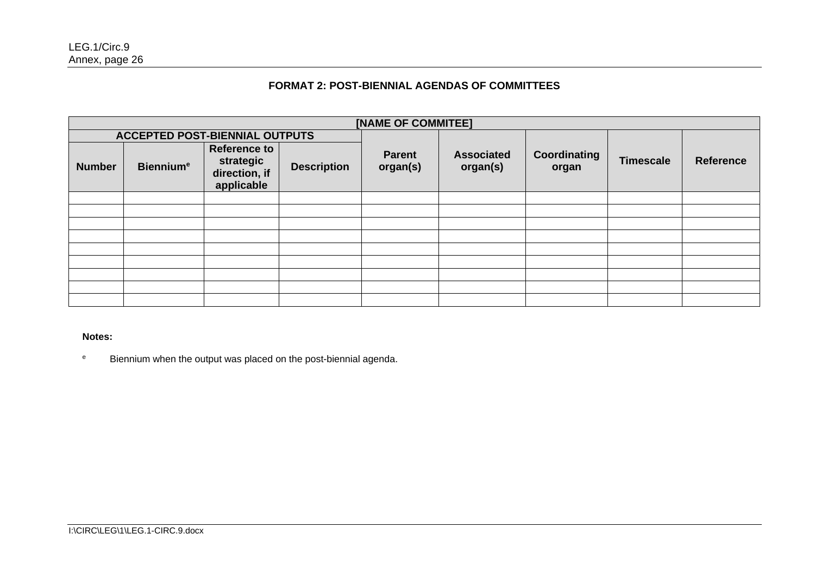# **FORMAT 2: POST-BIENNIAL AGENDAS OF COMMITTEES**

| [NAME OF COMMITEE] |                                       |                                                                 |                    |                    |                               |                       |                  |                  |
|--------------------|---------------------------------------|-----------------------------------------------------------------|--------------------|--------------------|-------------------------------|-----------------------|------------------|------------------|
|                    | <b>ACCEPTED POST-BIENNIAL OUTPUTS</b> |                                                                 |                    |                    |                               |                       |                  |                  |
| <b>Number</b>      | <b>Biennium<sup>e</sup></b>           | <b>Reference to</b><br>strategic<br>direction, if<br>applicable | <b>Description</b> | Parent<br>organ(s) | <b>Associated</b><br>organ(s) | Coordinating<br>organ | <b>Timescale</b> | <b>Reference</b> |
|                    |                                       |                                                                 |                    |                    |                               |                       |                  |                  |
|                    |                                       |                                                                 |                    |                    |                               |                       |                  |                  |
|                    |                                       |                                                                 |                    |                    |                               |                       |                  |                  |
|                    |                                       |                                                                 |                    |                    |                               |                       |                  |                  |
|                    |                                       |                                                                 |                    |                    |                               |                       |                  |                  |
|                    |                                       |                                                                 |                    |                    |                               |                       |                  |                  |
|                    |                                       |                                                                 |                    |                    |                               |                       |                  |                  |
|                    |                                       |                                                                 |                    |                    |                               |                       |                  |                  |
|                    |                                       |                                                                 |                    |                    |                               |                       |                  |                  |

**Notes:**

<sup>e</sup> Biennium when the output was placed on the post-biennial agenda.